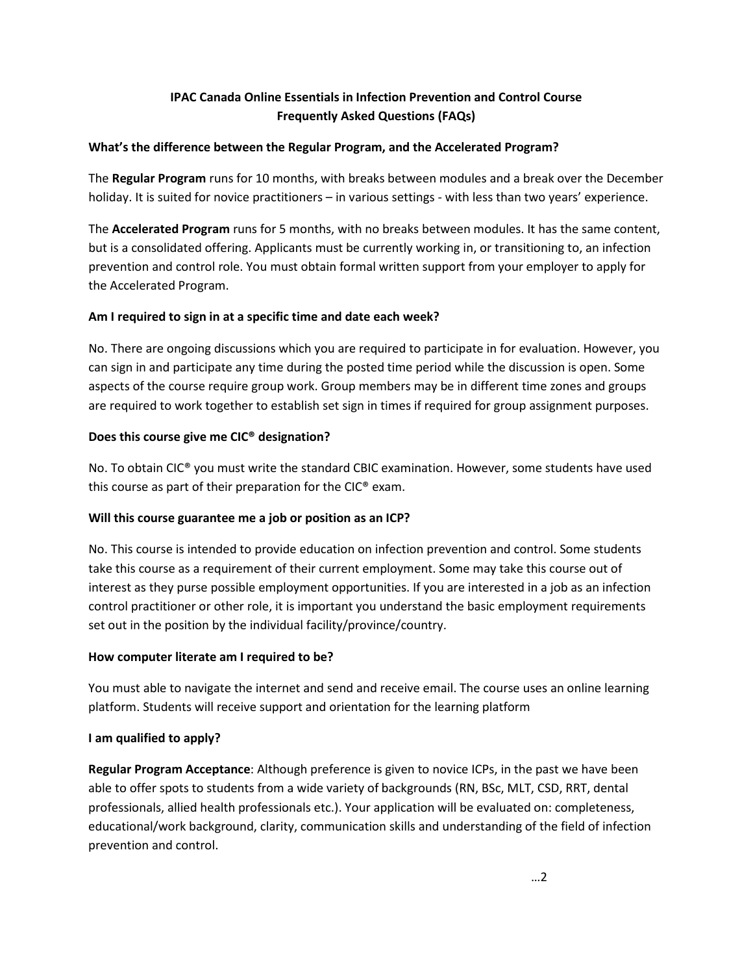# **IPAC Canada Online Essentials in Infection Prevention and Control Course Frequently Asked Questions (FAQs)**

### **What's the difference between the Regular Program, and the Accelerated Program?**

The **Regular Program** runs for 10 months, with breaks between modules and a break over the December holiday. It is suited for novice practitioners – in various settings - with less than two years' experience.

The **Accelerated Program** runs for 5 months, with no breaks between modules. It has the same content, but is a consolidated offering. Applicants must be currently working in, or transitioning to, an infection prevention and control role. You must obtain formal written support from your employer to apply for the Accelerated Program.

### **Am I required to sign in at a specific time and date each week?**

No. There are ongoing discussions which you are required to participate in for evaluation. However, you can sign in and participate any time during the posted time period while the discussion is open. Some aspects of the course require group work. Group members may be in different time zones and groups are required to work together to establish set sign in times if required for group assignment purposes.

### **Does this course give me CIC® designation?**

No. To obtain CIC® you must write the standard CBIC examination. However, some students have used this course as part of their preparation for the CIC® exam.

# **Will this course guarantee me a job or position as an ICP?**

No. This course is intended to provide education on infection prevention and control. Some students take this course as a requirement of their current employment. Some may take this course out of interest as they purse possible employment opportunities. If you are interested in a job as an infection control practitioner or other role, it is important you understand the basic employment requirements set out in the position by the individual facility/province/country.

# **How computer literate am I required to be?**

You must able to navigate the internet and send and receive email. The course uses an online learning platform. Students will receive support and orientation for the learning platform

# **I am qualified to apply?**

**Regular Program Acceptance**: Although preference is given to novice ICPs, in the past we have been able to offer spots to students from a wide variety of backgrounds (RN, BSc, MLT, CSD, RRT, dental professionals, allied health professionals etc.). Your application will be evaluated on: completeness, educational/work background, clarity, communication skills and understanding of the field of infection prevention and control.